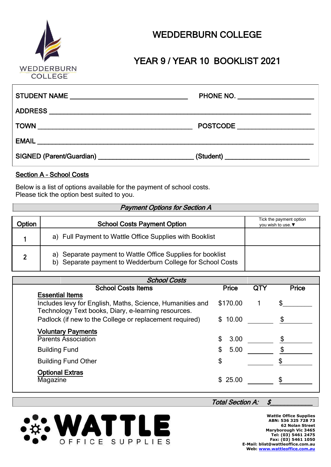

# YEAR 9 / YEAR 10 BOOKLIST 2021

| PHONE NO. ________________________         |
|--------------------------------------------|
|                                            |
| POSTCODE                                   |
|                                            |
| (Student) ________________________________ |

### Section A – School Costs

Below is a list of options available for the payment of school costs. Please tick the option best suited to you.

#### Payment Options for Section A

| Option | <b>School Costs Payment Option</b>                                                                                       | Tick the payment option<br>you wish to use. ▼ |
|--------|--------------------------------------------------------------------------------------------------------------------------|-----------------------------------------------|
|        | a) Full Payment to Wattle Office Supplies with Booklist                                                                  |                                               |
|        | a) Separate payment to Wattle Office Supplies for booklist<br>b) Separate payment to Wedderburn College for School Costs |                                               |

| <b>School Costs</b>                                       |              |     |              |
|-----------------------------------------------------------|--------------|-----|--------------|
| <b>School Costs Items</b>                                 | <b>Price</b> | QTY | <b>Price</b> |
| <b>Essential Items</b>                                    |              |     |              |
| Includes levy for English, Maths, Science, Humanities and | \$170.00     |     |              |
| Technology Text books, Diary, e-learning resources.       |              |     |              |
| Padlock (if new to the College or replacement required)   | \$10.00      |     |              |
| <b>Voluntary Payments</b><br><b>Parents Association</b>   | \$<br>3.00   |     |              |
| <b>Building Fund</b>                                      | \$<br>5.00   |     |              |
| <b>Building Fund Other</b>                                | \$           |     |              |
| <b>Optional Extras</b><br>Magazine                        | \$25.00      |     |              |

#### Total Section A:  $$$



**Wattle Office Supplies ABN: 536 325 728 73 62 Nolan Street Maryborough Vic 3465 Tel: (03) 5461 2475 Fax: (03) 5461 1050 E-Mail: blist@wattleoffice.com.au Web[: www.wattleoffice.com.](http://www.wattleoffice.com.au/)***a***u**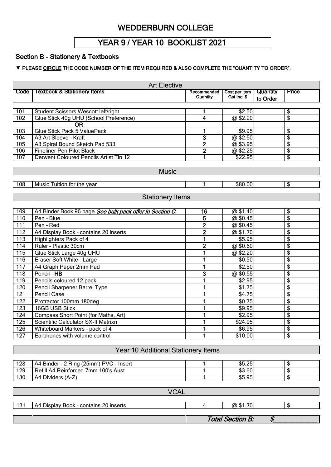### YEAR 9 / YEAR 10 BOOKLIST 2021

### Section B - Stationery & Textbooks

#### ▼ PLEASE CIRCLE THE CODE NUMBER OF THE ITEM REQUIRED & ALSO COMPLETE THE "QUANTITY TO ORDER".

| <b>Art Elective</b> |                                                         |                              |                     |          |                                        |  |
|---------------------|---------------------------------------------------------|------------------------------|---------------------|----------|----------------------------------------|--|
| Code                | <b>Textbook &amp; Stationery Items</b>                  | Recommended                  | Cost per item       | Quantity | <b>Price</b>                           |  |
|                     |                                                         | Quantity                     | Gst Inc. \$         | to Order |                                        |  |
|                     |                                                         |                              |                     |          |                                        |  |
| 101                 | Student Scissors Wescott left/right                     |                              | \$2.50              |          | \$                                     |  |
| 102                 | Glue Stick 40g UHU (School Preference)                  | $\overline{\mathbf{4}}$      | @\$2.20             |          | $\overline{\mathcal{S}}$               |  |
|                     | <b>OR</b><br><b>Glue Stick Pack 5 ValuePack</b>         |                              |                     |          |                                        |  |
| 103<br>104          | A3 Art Sleeve - Kraft                                   | 1<br>$\overline{\mathbf{3}}$ | \$9.95<br>@\$2.50   |          | \$<br>\$                               |  |
| 105                 | A3 Spiral Bound Sketch Pad 533                          | $\overline{2}$               | @\$3.95             |          | $\overline{\$}$                        |  |
| 106                 | <b>Fineliner Pen Pilot Black</b>                        | $\overline{\mathbf{2}}$      | @\$2.25             |          | $\overline{\$}$                        |  |
| 107                 | Derwent Coloured Pencils Artist Tin 12                  | 1                            | \$22.95             |          | $\overline{\$}$                        |  |
|                     |                                                         |                              |                     |          |                                        |  |
|                     | <b>Music</b>                                            |                              |                     |          |                                        |  |
|                     |                                                         |                              |                     |          |                                        |  |
| 108                 | Music Tuition for the year                              | 1                            | \$80.00             |          | $\overline{\boldsymbol{\mathfrak{s}}}$ |  |
|                     | <b>Stationery Items</b>                                 |                              |                     |          |                                        |  |
|                     |                                                         |                              |                     |          |                                        |  |
| 109                 | A4 Binder Book 96 page See bulk pack offer in Section C | 16                           | @\$1.40             |          | \$                                     |  |
| 110                 | Pen - Blue                                              | 5                            | @\$0.45             |          | $\overline{\boldsymbol{\theta}}$       |  |
| 111                 | Pen - Red                                               | $\mathbf{2}$                 | @\$0.45             |          | \$                                     |  |
| 112                 | A4 Display Book - contains 20 inserts                   | $\mathbf 2$                  | @\$1.70             |          | \$                                     |  |
| 113                 | Highlighters Pack of 4                                  | 1                            | \$5.95              |          | \$                                     |  |
| 114                 | Ruler - Plastic 30cm                                    | $\overline{2}$               | @\$0.60             |          | \$                                     |  |
| 115                 | Glue Stick Large 40g UHU                                | 1                            | @\$2.20             |          | \$                                     |  |
| 116                 | Eraser Soft White - Large                               | 1                            | \$0.50              |          | \$                                     |  |
| 117                 | A4 Graph Paper 2mm Pad                                  | 1                            | \$2.50              |          | $\overline{\boldsymbol{\epsilon}}$     |  |
| 118                 | Pencil - HB                                             | 3                            | @\$0.55             |          | \$                                     |  |
| 119                 | Pencils coloured 12 pack                                | 1                            | \$2.95              |          | \$                                     |  |
| 120                 | Pencil Sharpener Barrel Type                            | 1                            | \$1.75              |          | $\overline{\boldsymbol{\mathsf{s}}}$   |  |
| 121                 | <b>Pencil Case</b>                                      | 1                            | \$4.75              |          | $\overline{\boldsymbol{\theta}}$       |  |
| 122                 | Protractor 100mm 180deg                                 | 1                            | \$0.75              |          | \$                                     |  |
| 123                 | 16GB USB Stick                                          | 1                            | \$9.95              |          | \$                                     |  |
| 124                 | Compass Short Point (for Maths, Art)                    | 1                            | \$2.95              |          | \$                                     |  |
| 125                 | Scientific Calculator SX-II Matrixn                     | 1                            | \$24.95             |          | \$                                     |  |
| 126                 | Whiteboard Markers - pack of 4                          | 1                            | \$6.95              |          | $\overline{\mathfrak{s}}$              |  |
| 127                 | Earphones with volume control                           | 1                            | $\overline{$}10.00$ |          | \$                                     |  |
|                     |                                                         |                              |                     |          |                                        |  |
|                     | Year 10 Additional Stationery Items                     |                              |                     |          |                                        |  |
|                     |                                                         |                              |                     |          |                                        |  |
| 128                 | A4 Binder - 2 Ring (25mm) PVC - Insert                  |                              | \$5.25              |          | $\frac{1}{2}$                          |  |
| 129                 | Refill A4 Reinforced 7mm 100's Aust                     | 1                            | \$3.60              |          | $\overline{\boldsymbol{\mathsf{s}}}$   |  |
| 130                 | A4 Dividers (A-Z)                                       | 1                            | \$5.95              |          | $\overline{\mathbf{e}}$                |  |
|                     |                                                         |                              |                     |          |                                        |  |
| <b>VCAL</b>         |                                                         |                              |                     |          |                                        |  |
|                     |                                                         |                              |                     |          |                                        |  |
| 131                 | A4 Display Book - contains 20 inserts                   | 4                            | @\$1.70             |          | \$                                     |  |
|                     |                                                         |                              |                     |          |                                        |  |

Total Section B. \$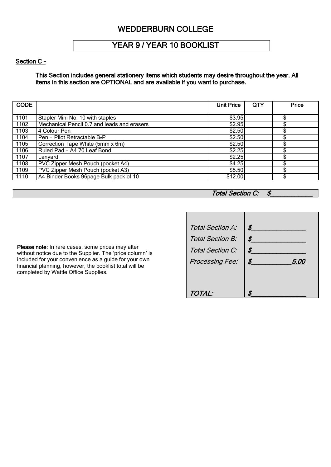### YEAR 9 / YEAR 10 BOOKLIST

#### Section C -

This Section includes general stationery items which students may desire throughout the year. All items in this section are OPTIONAL and are available if you want to purchase.

| <b>CODE</b> |                                             | <b>Unit Price</b> | QTY | Price |
|-------------|---------------------------------------------|-------------------|-----|-------|
|             |                                             |                   |     |       |
| 1101        | Stapler Mini No. 10 with staples            | \$3.95            |     |       |
| 1102        | Mechanical Pencil 0.7 and leads and erasers | \$2.95            |     |       |
| 1103        | 4 Colour Pen                                | \$2.50            |     |       |
| 1104        | Pen - Pilot Retractable B <sub>2</sub> P    | \$2.50            |     |       |
| 1105        | Correction Tape White (5mm x 6m)            | \$2.50            |     |       |
| 1106        | Ruled Pad - A4 70 Leaf Bond                 | \$2.25            |     |       |
| 1107        | Lanyard                                     | \$2.25            |     |       |
| 1108        | PVC Zipper Mesh Pouch (pocket A4)           | \$4.25            |     |       |
| 1109        | PVC Zipper Mesh Pouch (pocket A3)           | \$5.50            |     |       |
| 1110        | A4 Binder Books 96page Bulk pack of 10      | \$12.00           |     |       |

### Total Section C: \$

Please note: In rare cases, some prices may alter without notice due to the Supplier. The 'price column' is included for your convenience as a guide for your own financial planning, however, the booklist total will be completed by Wattle Office Supplies.

| Total Section A:<br>Total Section B:<br>Total Section C:<br>Processing Fee: | \$<br>\$<br>\$<br>\$<br><i>5.00</i> |
|-----------------------------------------------------------------------------|-------------------------------------|
| TOTAL:                                                                      | ¢                                   |